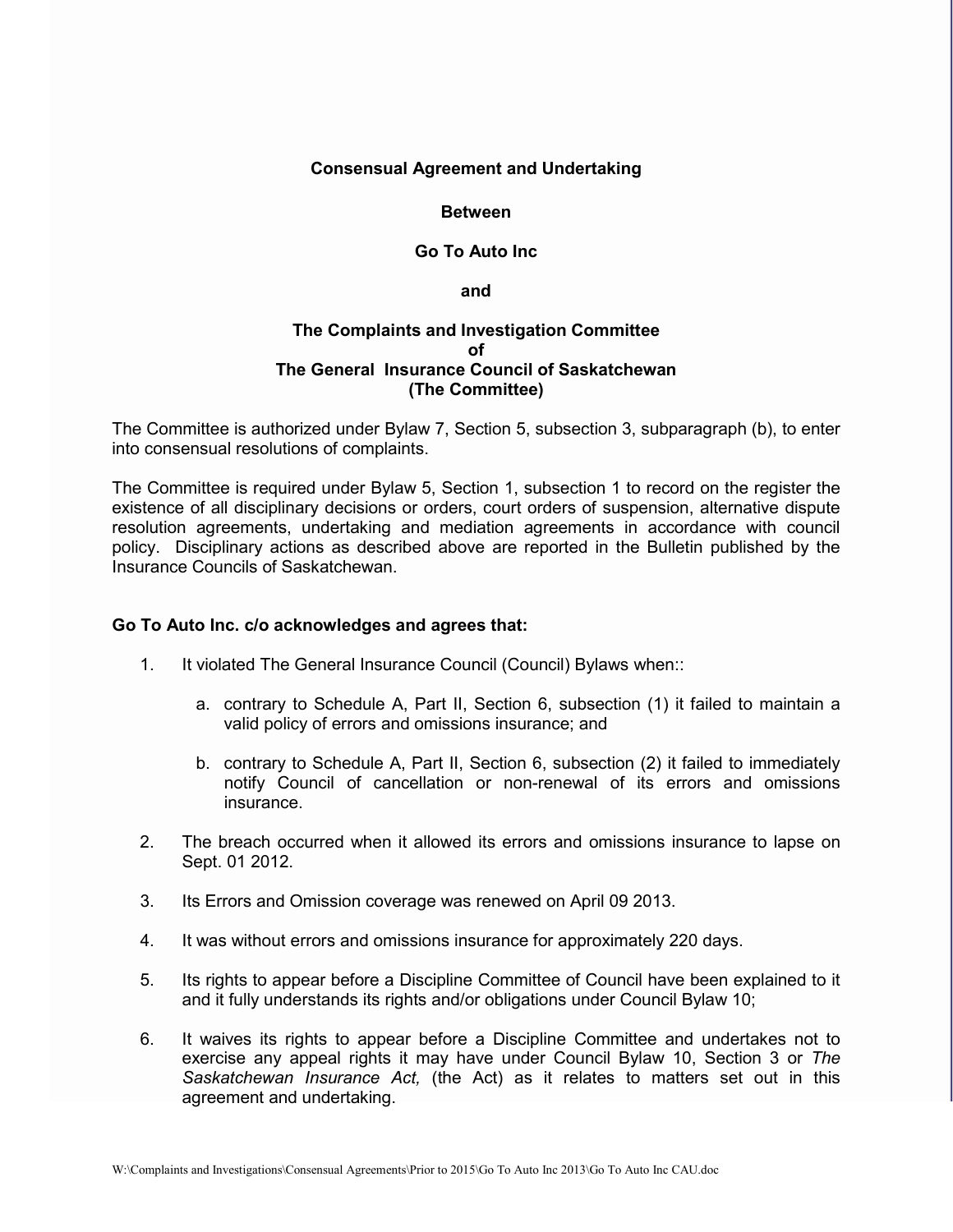## **Consensual Agreement and Undertaking**

#### **Between**

### **Go To Auto Inc**

**and**

## **The Complaints and Investigation Committee of The General Insurance Council of Saskatchewan (The Committee)**

The Committee is authorized under Bylaw 7, Section 5, subsection 3, subparagraph (b), to enter into consensual resolutions of complaints.

The Committee is required under Bylaw 5, Section 1, subsection 1 to record on the register the existence of all disciplinary decisions or orders, court orders of suspension, alternative dispute resolution agreements, undertaking and mediation agreements in accordance with council policy. Disciplinary actions as described above are reported in the Bulletin published by the Insurance Councils of Saskatchewan.

#### **Go To Auto Inc. c/o acknowledges and agrees that:**

- 1. It violated The General Insurance Council (Council) Bylaws when::
	- a. contrary to Schedule A, Part II, Section 6, subsection (1) it failed to maintain a valid policy of errors and omissions insurance; and
	- b. contrary to Schedule A, Part II, Section 6, subsection (2) it failed to immediately notify Council of cancellation or non-renewal of its errors and omissions insurance.
- 2. The breach occurred when it allowed its errors and omissions insurance to lapse on Sept. 01 2012.
- 3. Its Errors and Omission coverage was renewed on April 09 2013.
- 4. It was without errors and omissions insurance for approximately 220 days.
- 5. Its rights to appear before a Discipline Committee of Council have been explained to it and it fully understands its rights and/or obligations under Council Bylaw 10;
- 6. It waives its rights to appear before a Discipline Committee and undertakes not to exercise any appeal rights it may have under Council Bylaw 10, Section 3 or *The Saskatchewan Insurance Act,* (the Act) as it relates to matters set out in this agreement and undertaking.